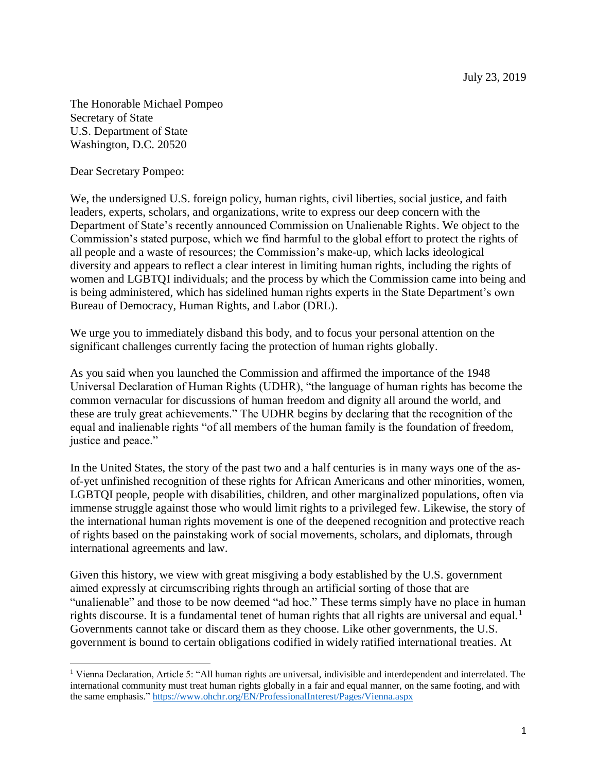The Honorable Michael Pompeo Secretary of State U.S. Department of State Washington, D.C. 20520

Dear Secretary Pompeo:

 $\overline{a}$ 

We, the undersigned U.S. foreign policy, human rights, civil liberties, social justice, and faith leaders, experts, scholars, and organizations, write to express our deep concern with the Department of State's recently announced Commission on Unalienable Rights. We object to the Commission's stated purpose, which we find harmful to the global effort to protect the rights of all people and a waste of resources; the Commission's make-up, which lacks ideological diversity and appears to reflect a clear interest in limiting human rights, including the rights of women and LGBTQI individuals; and the process by which the Commission came into being and is being administered, which has sidelined human rights experts in the State Department's own Bureau of Democracy, Human Rights, and Labor (DRL).

We urge you to immediately disband this body, and to focus your personal attention on the significant challenges currently facing the protection of human rights globally.

As you said when you launched the Commission and affirmed the importance of the 1948 Universal Declaration of Human Rights (UDHR), "the language of human rights has become the common vernacular for discussions of human freedom and dignity all around the world, and these are truly great achievements." The UDHR begins by declaring that the recognition of the equal and inalienable rights "of all members of the human family is the foundation of freedom, justice and peace."

In the United States, the story of the past two and a half centuries is in many ways one of the asof-yet unfinished recognition of these rights for African Americans and other minorities, women, LGBTQI people, people with disabilities, children, and other marginalized populations, often via immense struggle against those who would limit rights to a privileged few. Likewise, the story of the international human rights movement is one of the deepened recognition and protective reach of rights based on the painstaking work of social movements, scholars, and diplomats, through international agreements and law.

Given this history, we view with great misgiving a body established by the U.S. government aimed expressly at circumscribing rights through an artificial sorting of those that are "unalienable" and those to be now deemed "ad hoc." These terms simply have no place in human rights discourse. It is a fundamental tenet of human rights that all rights are universal and equal.<sup>1</sup> Governments cannot take or discard them as they choose. Like other governments, the U.S. government is bound to certain obligations codified in widely ratified international treaties. At

<sup>1</sup> Vienna Declaration, Article 5: "All human rights are universal, indivisible and interdependent and interrelated. The international community must treat human rights globally in a fair and equal manner, on the same footing, and with the same emphasis." <https://www.ohchr.org/EN/ProfessionalInterest/Pages/Vienna.aspx>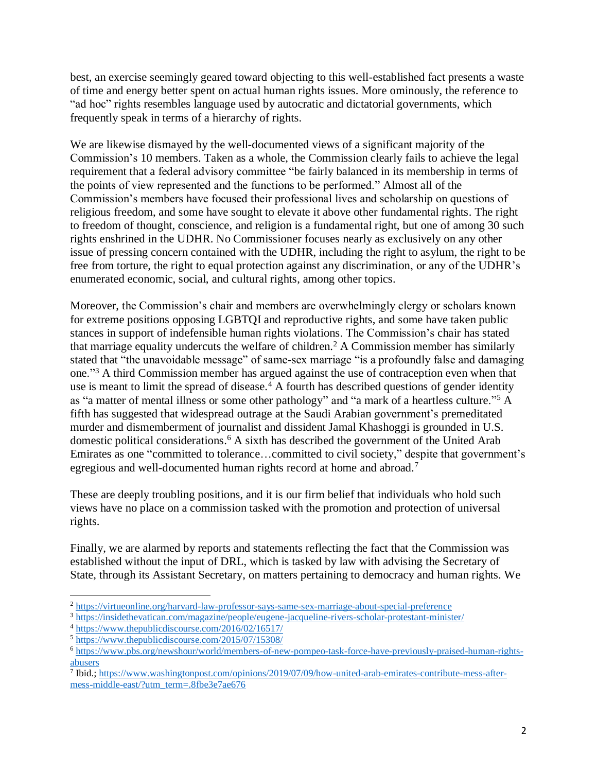best, an exercise seemingly geared toward objecting to this well-established fact presents a waste of time and energy better spent on actual human rights issues. More ominously, the reference to "ad hoc" rights resembles language used by autocratic and dictatorial governments, which frequently speak in terms of a hierarchy of rights.

We are likewise dismayed by the well-documented views of a significant majority of the Commission's 10 members. Taken as a whole, the Commission clearly fails to achieve the legal requirement that a federal advisory committee "be fairly balanced in its membership in terms of the points of view represented and the functions to be performed." Almost all of the Commission's members have focused their professional lives and scholarship on questions of religious freedom, and some have sought to elevate it above other fundamental rights. The right to freedom of thought, conscience, and religion is a fundamental right, but one of among 30 such rights enshrined in the UDHR. No Commissioner focuses nearly as exclusively on any other issue of pressing concern contained with the UDHR, including the right to asylum, the right to be free from torture, the right to equal protection against any discrimination, or any of the UDHR's enumerated economic, social, and cultural rights, among other topics.

Moreover, the Commission's chair and members are overwhelmingly clergy or scholars known for extreme positions opposing LGBTQI and reproductive rights, and some have taken public stances in support of indefensible human rights violations. The Commission's chair has stated that marriage equality undercuts the welfare of children.<sup>2</sup> A Commission member has similarly stated that "the unavoidable message" of same-sex marriage "is a profoundly false and damaging one."<sup>3</sup> A third Commission member has argued against the use of contraception even when that use is meant to limit the spread of disease.<sup> $4$ </sup> A fourth has described questions of gender identity as "a matter of mental illness or some other pathology" and "a mark of a heartless culture."<sup>5</sup> A fifth has suggested that widespread outrage at the Saudi Arabian government's premeditated murder and dismemberment of journalist and dissident Jamal Khashoggi is grounded in U.S. domestic political considerations. <sup>6</sup> A sixth has described the government of the United Arab Emirates as one "committed to tolerance…committed to civil society," despite that government's egregious and well-documented human rights record at home and abroad.<sup>7</sup>

These are deeply troubling positions, and it is our firm belief that individuals who hold such views have no place on a commission tasked with the promotion and protection of universal rights.

Finally, we are alarmed by reports and statements reflecting the fact that the Commission was established without the input of DRL, which is tasked by law with advising the Secretary of State, through its Assistant Secretary, on matters pertaining to democracy and human rights. We

 $\overline{a}$ 

<sup>2</sup> <https://virtueonline.org/harvard-law-professor-says-same-sex-marriage-about-special-preference>

<sup>3</sup> <https://insidethevatican.com/magazine/people/eugene-jacqueline-rivers-scholar-protestant-minister/>

<sup>4</sup> <https://www.thepublicdiscourse.com/2016/02/16517/>

<sup>5</sup> <https://www.thepublicdiscourse.com/2015/07/15308/>

<sup>6</sup> [https://www.pbs.org/newshour/world/members-of-new-pompeo-task-force-have-previously-praised-human-rights](https://www.pbs.org/newshour/world/members-of-new-pompeo-task-force-have-previously-praised-human-rights-abusers)[abusers](https://www.pbs.org/newshour/world/members-of-new-pompeo-task-force-have-previously-praised-human-rights-abusers)

<sup>&</sup>lt;sup>7</sup> Ibid.[; https://www.washingtonpost.com/opinions/2019/07/09/how-united-arab-emirates-contribute-mess-after](https://www.washingtonpost.com/opinions/2019/07/09/how-united-arab-emirates-contribute-mess-after-mess-middle-east/?utm_term=.8fbe3e7ae676)[mess-middle-east/?utm\\_term=.8fbe3e7ae676](https://www.washingtonpost.com/opinions/2019/07/09/how-united-arab-emirates-contribute-mess-after-mess-middle-east/?utm_term=.8fbe3e7ae676)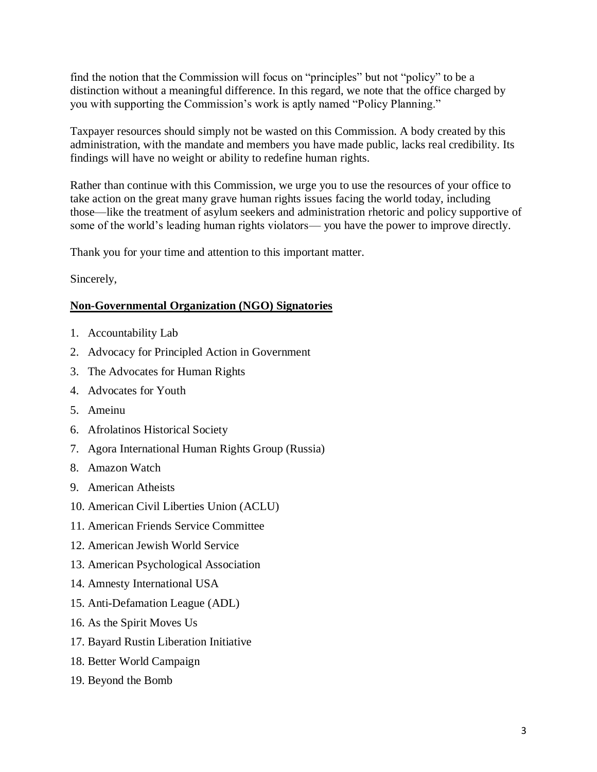find the notion that the Commission will focus on "principles" but not "policy" to be a distinction without a meaningful difference. In this regard, we note that the office charged by you with supporting the Commission's work is aptly named "Policy Planning."

Taxpayer resources should simply not be wasted on this Commission. A body created by this administration, with the mandate and members you have made public, lacks real credibility. Its findings will have no weight or ability to redefine human rights.

Rather than continue with this Commission, we urge you to use the resources of your office to take action on the great many grave human rights issues facing the world today, including those—like the treatment of asylum seekers and administration rhetoric and policy supportive of some of the world's leading human rights violators— you have the power to improve directly.

Thank you for your time and attention to this important matter.

Sincerely,

## **Non-Governmental Organization (NGO) Signatories**

- 1. Accountability Lab
- 2. Advocacy for Principled Action in Government
- 3. The Advocates for Human Rights
- 4. Advocates for Youth
- 5. Ameinu
- 6. Afrolatinos Historical Society
- 7. Agora International Human Rights Group (Russia)
- 8. Amazon Watch
- 9. American Atheists
- 10. American Civil Liberties Union (ACLU)
- 11. American Friends Service Committee
- 12. American Jewish World Service
- 13. American Psychological Association
- 14. Amnesty International USA
- 15. Anti-Defamation League (ADL)
- 16. As the Spirit Moves Us
- 17. Bayard Rustin Liberation Initiative
- 18. Better World Campaign
- 19. Beyond the Bomb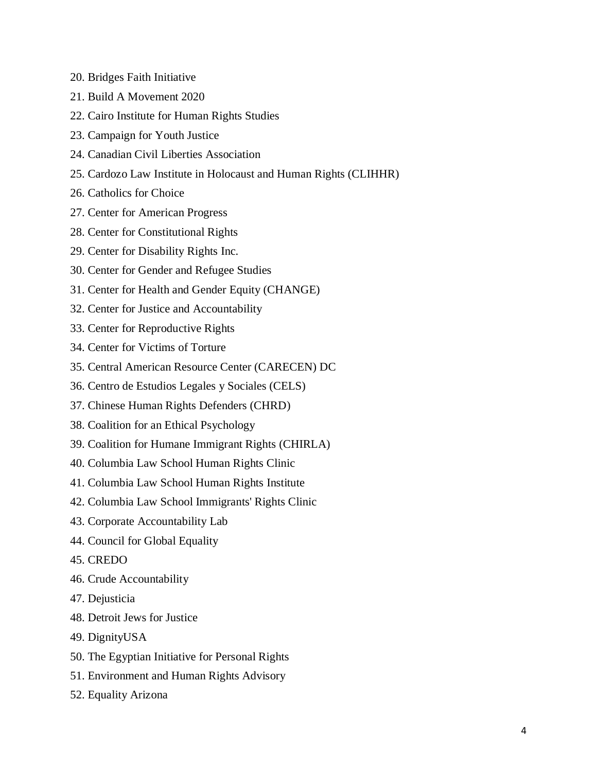- 20. Bridges Faith Initiative
- 21. Build A Movement 2020
- 22. Cairo Institute for Human Rights Studies
- 23. Campaign for Youth Justice
- 24. Canadian Civil Liberties Association
- 25. Cardozo Law Institute in Holocaust and Human Rights (CLIHHR)
- 26. Catholics for Choice
- 27. Center for American Progress
- 28. Center for Constitutional Rights
- 29. Center for Disability Rights Inc.
- 30. Center for Gender and Refugee Studies
- 31. Center for Health and Gender Equity (CHANGE)
- 32. Center for Justice and Accountability
- 33. Center for Reproductive Rights
- 34. Center for Victims of Torture
- 35. Central American Resource Center (CARECEN) DC
- 36. Centro de Estudios Legales y Sociales (CELS)
- 37. Chinese Human Rights Defenders (CHRD)
- 38. Coalition for an Ethical Psychology
- 39. Coalition for Humane Immigrant Rights (CHIRLA)
- 40. Columbia Law School Human Rights Clinic
- 41. Columbia Law School Human Rights Institute
- 42. Columbia Law School Immigrants' Rights Clinic
- 43. Corporate Accountability Lab
- 44. Council for Global Equality
- 45. CREDO
- 46. Crude Accountability
- 47. Dejusticia
- 48. Detroit Jews for Justice
- 49. DignityUSA
- 50. The Egyptian Initiative for Personal Rights
- 51. Environment and Human Rights Advisory
- 52. Equality Arizona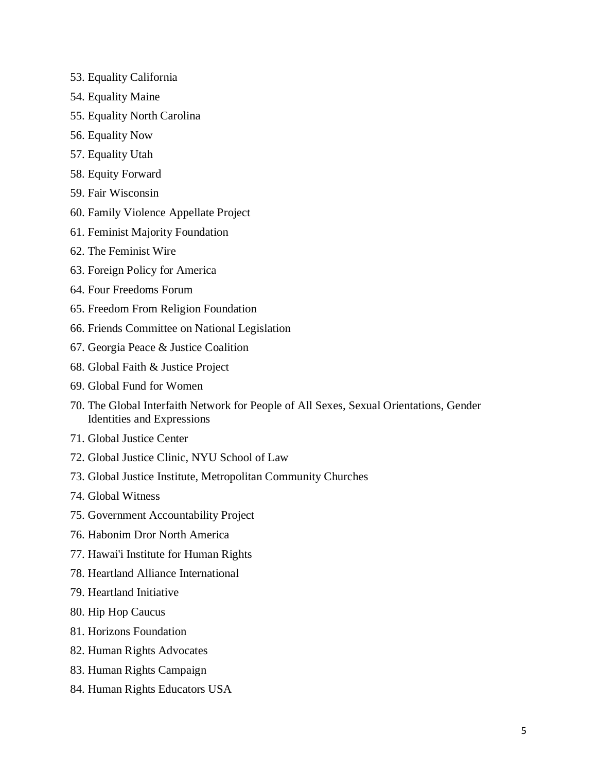- 53. Equality California
- 54. Equality Maine
- 55. Equality North Carolina
- 56. Equality Now
- 57. Equality Utah
- 58. Equity Forward
- 59. Fair Wisconsin
- 60. Family Violence Appellate Project
- 61. Feminist Majority Foundation
- 62. The Feminist Wire
- 63. Foreign Policy for America
- 64. Four Freedoms Forum
- 65. Freedom From Religion Foundation
- 66. Friends Committee on National Legislation
- 67. Georgia Peace & Justice Coalition
- 68. Global Faith & Justice Project
- 69. Global Fund for Women
- 70. The Global Interfaith Network for People of All Sexes, Sexual Orientations, Gender Identities and Expressions
- 71. Global Justice Center
- 72. Global Justice Clinic, NYU School of Law
- 73. Global Justice Institute, Metropolitan Community Churches
- 74. Global Witness
- 75. Government Accountability Project
- 76. Habonim Dror North America
- 77. Hawai'i Institute for Human Rights
- 78. Heartland Alliance International
- 79. Heartland Initiative
- 80. Hip Hop Caucus
- 81. Horizons Foundation
- 82. Human Rights Advocates
- 83. Human Rights Campaign
- 84. Human Rights Educators USA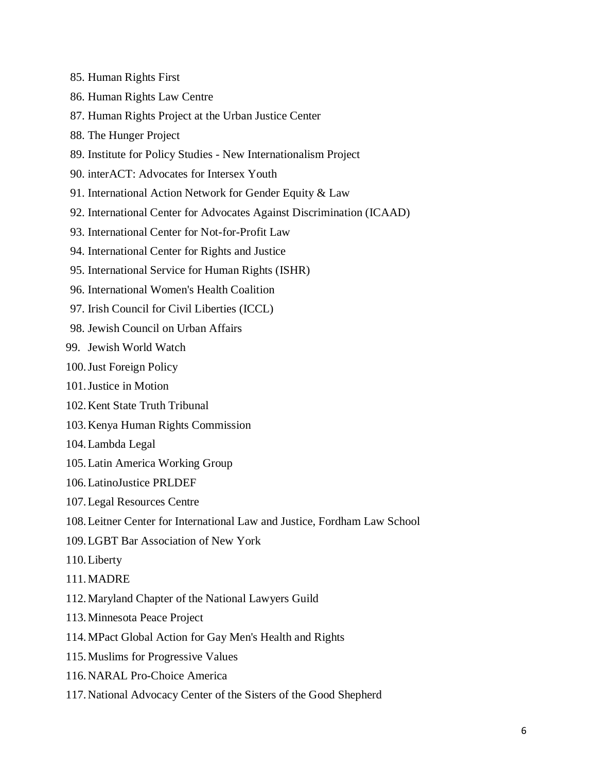- 85. Human Rights First
- 86. Human Rights Law Centre
- 87. Human Rights Project at the Urban Justice Center
- 88. The Hunger Project
- 89. Institute for Policy Studies New Internationalism Project
- 90. interACT: Advocates for Intersex Youth
- 91. International Action Network for Gender Equity & Law
- 92. International Center for Advocates Against Discrimination (ICAAD)
- 93. International Center for Not-for-Profit Law
- 94. International Center for Rights and Justice
- 95. International Service for Human Rights (ISHR)
- 96. International Women's Health Coalition
- 97. Irish Council for Civil Liberties (ICCL)
- 98. Jewish Council on Urban Affairs
- 99. Jewish World Watch
- 100.Just Foreign Policy
- 101.Justice in Motion
- 102.Kent State Truth Tribunal
- 103.Kenya Human Rights Commission
- 104.Lambda Legal
- 105.Latin America Working Group
- 106.LatinoJustice PRLDEF
- 107.Legal Resources Centre
- 108.Leitner Center for International Law and Justice, Fordham Law School
- 109.LGBT Bar Association of New York
- 110.Liberty
- 111.MADRE
- 112.Maryland Chapter of the National Lawyers Guild
- 113.Minnesota Peace Project
- 114.MPact Global Action for Gay Men's Health and Rights
- 115.Muslims for Progressive Values
- 116.NARAL Pro-Choice America
- 117.National Advocacy Center of the Sisters of the Good Shepherd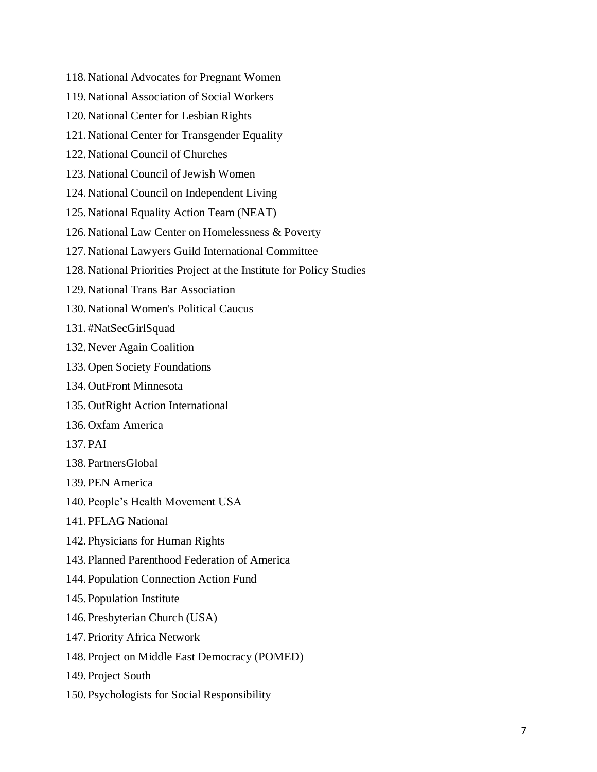118.National Advocates for Pregnant Women 119.National Association of Social Workers 120.National Center for Lesbian Rights 121.National Center for Transgender Equality 122.National Council of Churches 123.National Council of Jewish Women 124.National Council on Independent Living 125.National Equality Action Team (NEAT) 126.National Law Center on Homelessness & Poverty 127.National Lawyers Guild International Committee 128.National Priorities Project at the Institute for Policy Studies 129.National Trans Bar Association 130.National Women's Political Caucus 131.#NatSecGirlSquad 132.Never Again Coalition 133.Open Society Foundations 134.OutFront Minnesota 135.OutRight Action International 136.Oxfam America 137.PAI 138.PartnersGlobal 139.PEN America 140.People's Health Movement USA 141.PFLAG National 142.Physicians for Human Rights 143.Planned Parenthood Federation of America 144.Population Connection Action Fund 145.Population Institute 146.Presbyterian Church (USA) 147.Priority Africa Network 148.Project on Middle East Democracy (POMED) 149.Project South 150.Psychologists for Social Responsibility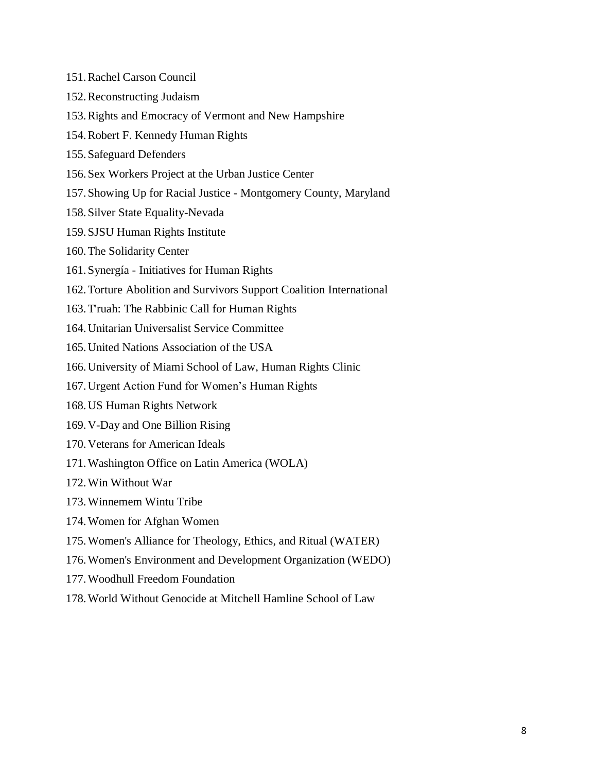- 151.Rachel Carson Council
- 152.Reconstructing Judaism
- 153.Rights and Emocracy of Vermont and New Hampshire
- 154.Robert F. Kennedy Human Rights
- 155.Safeguard Defenders
- 156.Sex Workers Project at the Urban Justice Center
- 157.Showing Up for Racial Justice Montgomery County, Maryland
- 158.Silver State Equality-Nevada
- 159.SJSU Human Rights Institute
- 160.The Solidarity Center
- 161.Synergía Initiatives for Human Rights
- 162.Torture Abolition and Survivors Support Coalition International
- 163.T'ruah: The Rabbinic Call for Human Rights
- 164.Unitarian Universalist Service Committee
- 165.United Nations Association of the USA
- 166.University of Miami School of Law, Human Rights Clinic
- 167.Urgent Action Fund for Women's Human Rights
- 168.US Human Rights Network
- 169.V-Day and One Billion Rising
- 170.Veterans for American Ideals
- 171.Washington Office on Latin America (WOLA)
- 172.Win Without War
- 173.Winnemem Wintu Tribe
- 174.Women for Afghan Women
- 175.Women's Alliance for Theology, Ethics, and Ritual (WATER)
- 176.Women's Environment and Development Organization (WEDO)
- 177.Woodhull Freedom Foundation
- 178.World Without Genocide at Mitchell Hamline School of Law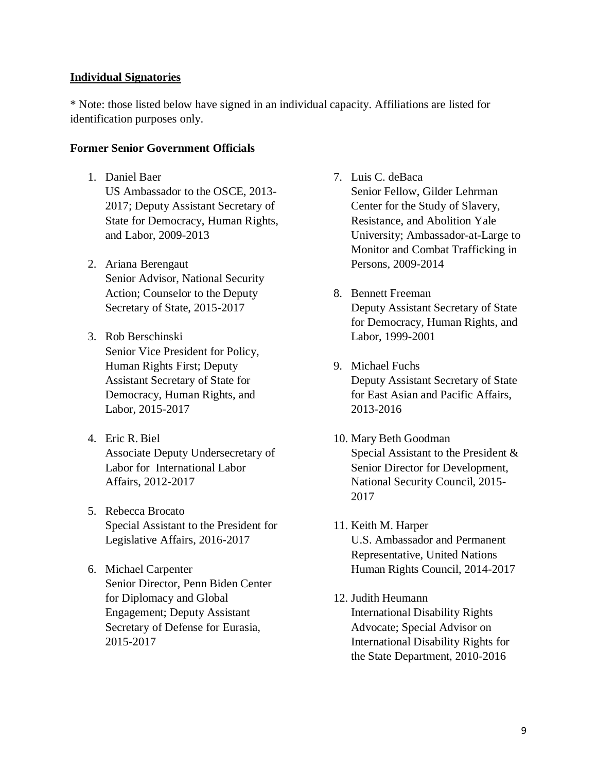### **Individual Signatories**

\* Note: those listed below have signed in an individual capacity. Affiliations are listed for identification purposes only.

### **Former Senior Government Officials**

- 1. Daniel Baer US Ambassador to the OSCE, 2013- 2017; Deputy Assistant Secretary of State for Democracy, Human Rights, and Labor, 2009-2013
- 2. Ariana Berengaut Senior Advisor, National Security Action; Counselor to the Deputy Secretary of State, 2015-2017
- 3. Rob Berschinski Senior Vice President for Policy, Human Rights First; Deputy Assistant Secretary of State for Democracy, Human Rights, and Labor, 2015-2017
- 4. Eric R. Biel Associate Deputy Undersecretary of Labor for International Labor Affairs, 2012-2017
- 5. Rebecca Brocato Special Assistant to the President for Legislative Affairs, 2016-2017
- 6. Michael Carpenter Senior Director, Penn Biden Center for Diplomacy and Global Engagement; Deputy Assistant Secretary of Defense for Eurasia, 2015-2017
- 7. Luis C. deBaca Senior Fellow, Gilder Lehrman Center for the Study of Slavery, Resistance, and Abolition Yale University; Ambassador-at-Large to Monitor and Combat Trafficking in Persons, 2009-2014
- 8. Bennett Freeman Deputy Assistant Secretary of State for Democracy, Human Rights, and Labor, 1999-2001
- 9. Michael Fuchs Deputy Assistant Secretary of State for East Asian and Pacific Affairs, 2013-2016
- 10. Mary Beth Goodman Special Assistant to the President & Senior Director for Development, National Security Council, 2015- 2017
- 11. Keith M. Harper U.S. Ambassador and Permanent Representative, United Nations Human Rights Council, 2014-2017
- 12. Judith Heumann International Disability Rights Advocate; Special Advisor on International Disability Rights for the State Department, 2010-2016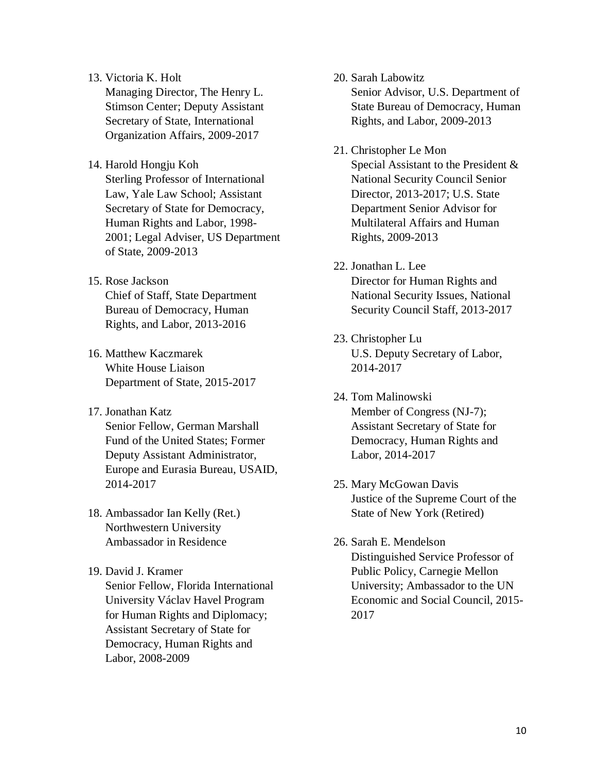13. Victoria K. Holt

Managing Director, The Henry L. Stimson Center; Deputy Assistant Secretary of State, International Organization Affairs, 2009-2017

# 14. Harold Hongju Koh

Sterling Professor of International Law, Yale Law School; Assistant Secretary of State for Democracy, Human Rights and Labor, 1998- 2001; Legal Adviser, US Department of State, 2009-2013

- 15. Rose Jackson Chief of Staff, State Department Bureau of Democracy, Human Rights, and Labor, 2013-2016
- 16. Matthew Kaczmarek White House Liaison Department of State, 2015-2017
- 17. Jonathan Katz Senior Fellow, German Marshall Fund of the United States; Former Deputy Assistant Administrator, Europe and Eurasia Bureau, USAID, 2014-2017
- 18. Ambassador Ian Kelly (Ret.) Northwestern University Ambassador in Residence
- 19. David J. Kramer Senior Fellow, Florida International University Václav Havel Program for Human Rights and Diplomacy; Assistant Secretary of State for Democracy, Human Rights and Labor, 2008-2009
- 20. Sarah Labowitz Senior Advisor, U.S. Department of State Bureau of Democracy, Human Rights, and Labor, 2009-2013
- 21. Christopher Le Mon Special Assistant to the President & National Security Council Senior Director, 2013-2017; U.S. State Department Senior Advisor for Multilateral Affairs and Human Rights, 2009-2013
- 22. Jonathan L. Lee Director for Human Rights and National Security Issues, National Security Council Staff, 2013-2017
- 23. Christopher Lu U.S. Deputy Secretary of Labor, 2014-2017
- 24. Tom Malinowski Member of Congress (NJ-7); Assistant Secretary of State for Democracy, Human Rights and Labor, 2014-2017
- 25. Mary McGowan Davis Justice of the Supreme Court of the State of New York (Retired)
- 26. Sarah E. Mendelson Distinguished Service Professor of Public Policy, Carnegie Mellon University; Ambassador to the UN Economic and Social Council, 2015- 2017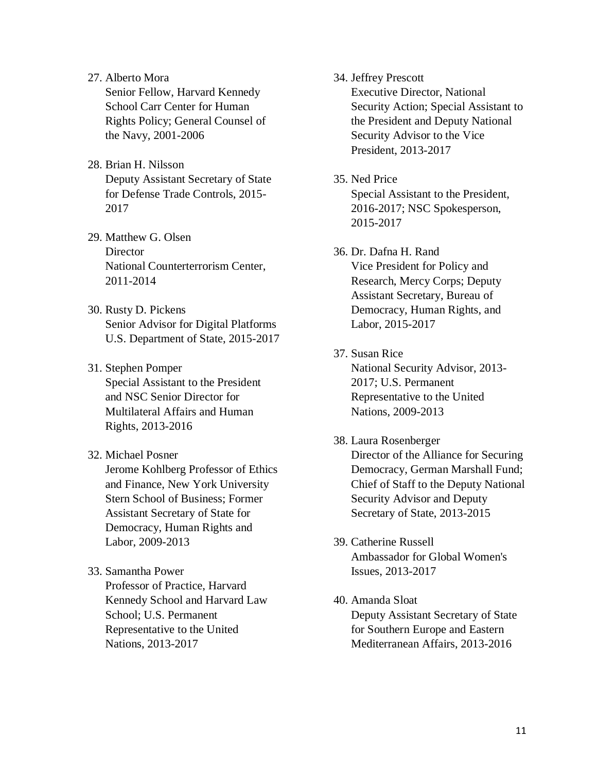27. Alberto Mora

Senior Fellow, Harvard Kennedy School Carr Center for Human Rights Policy; General Counsel of the Navy, 2001-2006

- 28. Brian H. Nilsson Deputy Assistant Secretary of State for Defense Trade Controls, 2015- 2017
- 29. Matthew G. Olsen **Director** National Counterterrorism Center, 2011-2014
- 30. Rusty D. Pickens Senior Advisor for Digital Platforms U.S. Department of State, 2015-2017
- 31. Stephen Pomper Special Assistant to the President and NSC Senior Director for Multilateral Affairs and Human Rights, 2013-2016
- 32. Michael Posner Jerome Kohlberg Professor of Ethics and Finance, New York University Stern School of Business; Former Assistant Secretary of State for Democracy, Human Rights and Labor, 2009-2013
- 33. Samantha Power Professor of Practice, Harvard Kennedy School and Harvard Law School; U.S. Permanent Representative to the United Nations, 2013-2017
- 34. Jeffrey Prescott Executive Director, National Security Action; Special Assistant to the President and Deputy National Security Advisor to the Vice President, 2013-2017
- 35. Ned Price

Special Assistant to the President, 2016-2017; NSC Spokesperson, 2015-2017

- 36. Dr. Dafna H. Rand Vice President for Policy and Research, Mercy Corps; Deputy Assistant Secretary, Bureau of Democracy, Human Rights, and Labor, 2015-2017
- 37. Susan Rice National Security Advisor, 2013- 2017; U.S. Permanent Representative to the United Nations, 2009-2013
- 38. Laura Rosenberger Director of the Alliance for Securing Democracy, German Marshall Fund; Chief of Staff to the Deputy National Security Advisor and Deputy Secretary of State, 2013-2015
- 39. Catherine Russell Ambassador for Global Women's Issues, 2013-2017
- 40. Amanda Sloat Deputy Assistant Secretary of State for Southern Europe and Eastern Mediterranean Affairs, 2013-2016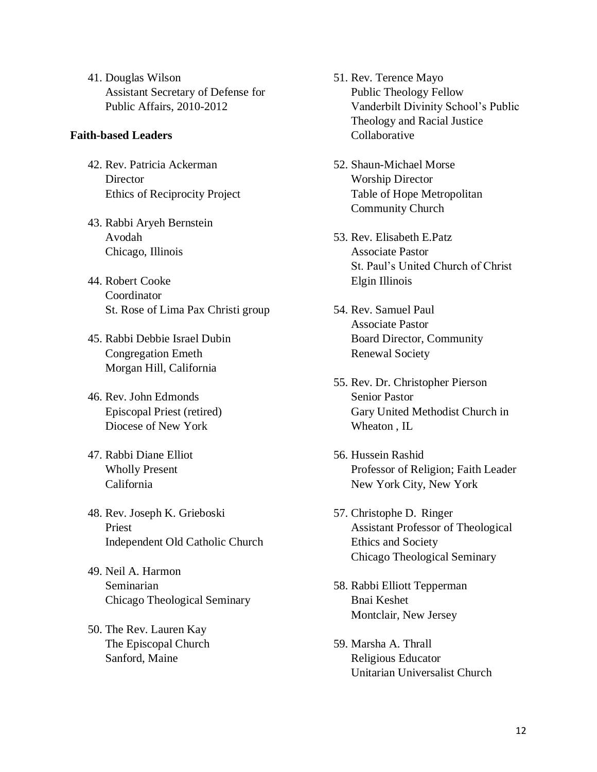41. Douglas Wilson Assistant Secretary of Defense for Public Affairs, 2010-2012

### **Faith-based Leaders**

- 42. Rev. Patricia Ackerman **Director** Ethics of Reciprocity Project
- 43. Rabbi Aryeh Bernstein Avodah Chicago, Illinois
- 44. Robert Cooke Coordinator St. Rose of Lima Pax Christi group
- 45. Rabbi Debbie Israel Dubin Congregation Emeth Morgan Hill, California
- 46. Rev. John Edmonds Episcopal Priest (retired) Diocese of New York
- 47. Rabbi Diane Elliot Wholly Present California
- 48. Rev. Joseph K. Grieboski Priest Independent Old Catholic Church
- 49. Neil A. Harmon Seminarian Chicago Theological Seminary
- 50. The Rev. Lauren Kay The Episcopal Church Sanford, Maine
- 51. Rev. Terence Mayo Public Theology Fellow Vanderbilt Divinity School's Public Theology and Racial Justice Collaborative
- 52. Shaun-Michael Morse Worship Director Table of Hope Metropolitan Community Church
- 53. Rev. Elisabeth E.Patz Associate Pastor St. Paul's United Church of Christ Elgin Illinois
- 54. Rev. Samuel Paul Associate Pastor Board Director, Community Renewal Society
- 55. Rev. Dr. Christopher Pierson Senior Pastor Gary United Methodist Church in Wheaton , IL
- 56. Hussein Rashid Professor of Religion; Faith Leader New York City, New York
- 57. Christophe D. Ringer Assistant Professor of Theological Ethics and Society Chicago Theological Seminary
- 58. Rabbi Elliott Tepperman Bnai Keshet Montclair, New Jersey
- 59. Marsha A. Thrall Religious Educator Unitarian Universalist Church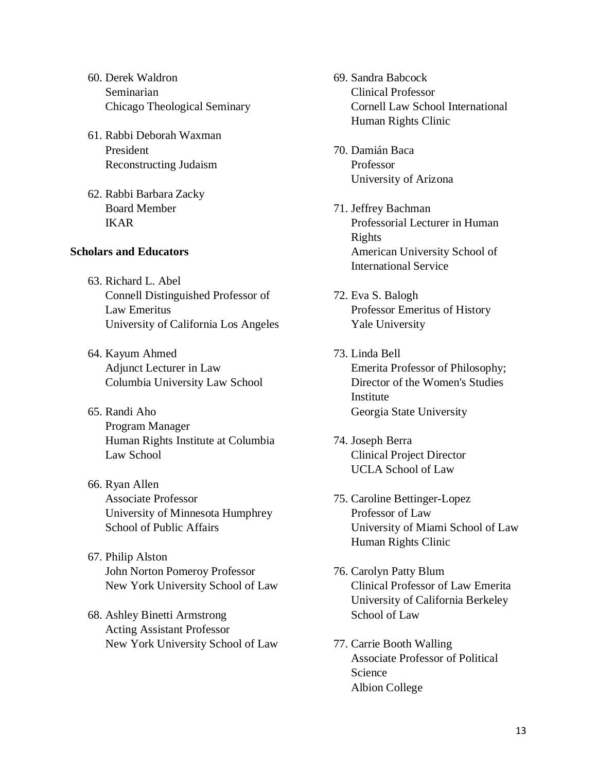- 60. Derek Waldron Seminarian Chicago Theological Seminary
- 61. Rabbi Deborah Waxman President Reconstructing Judaism
- 62. Rabbi Barbara Zacky Board Member IKAR

## **Scholars and Educators**

- 63. Richard L. Abel Connell Distinguished Professor of Law Emeritus University of California Los Angeles
- 64. Kayum Ahmed Adjunct Lecturer in Law Columbia University Law School
- 65. Randi Aho Program Manager Human Rights Institute at Columbia Law School
- 66. Ryan Allen Associate Professor University of Minnesota Humphrey School of Public Affairs
- 67. Philip Alston John Norton Pomeroy Professor New York University School of Law
- 68. Ashley Binetti Armstrong Acting Assistant Professor New York University School of Law
- 69. Sandra Babcock Clinical Professor Cornell Law School International Human Rights Clinic
- 70. Damián Baca Professor University of Arizona
- 71. Jeffrey Bachman Professorial Lecturer in Human Rights American University School of International Service
- 72. Eva S. Balogh Professor Emeritus of History Yale University
- 73. Linda Bell Emerita Professor of Philosophy; Director of the Women's Studies Institute Georgia State University
- 74. Joseph Berra Clinical Project Director UCLA School of Law
- 75. Caroline Bettinger-Lopez Professor of Law University of Miami School of Law Human Rights Clinic
- 76. Carolyn Patty Blum Clinical Professor of Law Emerita University of California Berkeley School of Law
- 77. Carrie Booth Walling Associate Professor of Political Science Albion College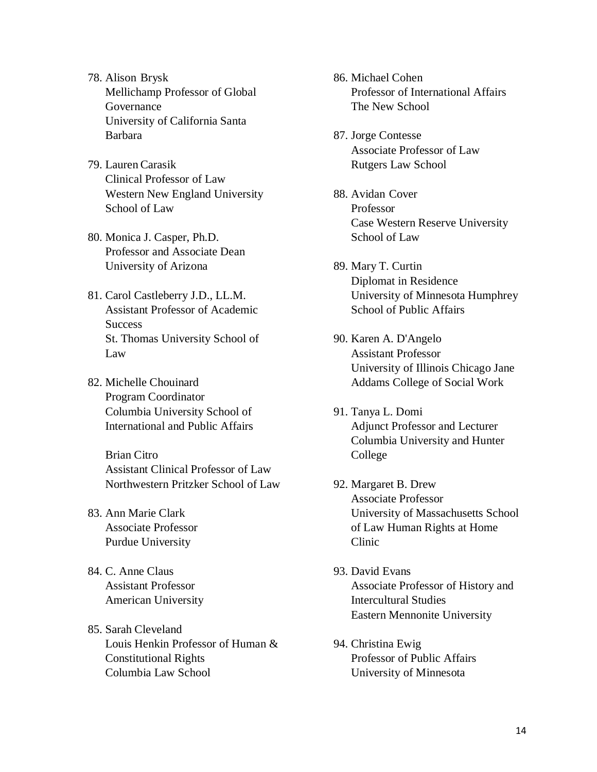- 78. Alison Brysk Mellichamp Professor of Global Governance University of California Santa Barbara
- 79. Lauren Carasik Clinical Professor of Law Western New England University School of Law
- 80. Monica J. Casper, Ph.D. Professor and Associate Dean University of Arizona
- 81. Carol Castleberry J.D., LL.M. Assistant Professor of Academic **Success** St. Thomas University School of Law
- 82. Michelle Chouinard Program Coordinator Columbia University School of International and Public Affairs

Brian Citro Assistant Clinical Professor of Law Northwestern Pritzker School of Law

- 83. Ann Marie Clark Associate Professor Purdue University
- 84. C. Anne Claus Assistant Professor American University
- 85. Sarah Cleveland Louis Henkin Professor of Human & Constitutional Rights Columbia Law School
- 86. Michael Cohen Professor of International Affairs The New School
- 87. Jorge Contesse Associate Professor of Law Rutgers Law School
- 88. Avidan Cover Professor Case Western Reserve University School of Law
- 89. Mary T. Curtin Diplomat in Residence University of Minnesota Humphrey School of Public Affairs
- 90. Karen A. D'Angelo Assistant Professor University of Illinois Chicago Jane Addams College of Social Work
- 91. Tanya L. Domi Adjunct Professor and Lecturer Columbia University and Hunter College
- 92. Margaret B. Drew Associate Professor University of Massachusetts School of Law Human Rights at Home Clinic
- 93. David Evans Associate Professor of History and Intercultural Studies Eastern Mennonite University
- 94. Christina Ewig Professor of Public Affairs University of Minnesota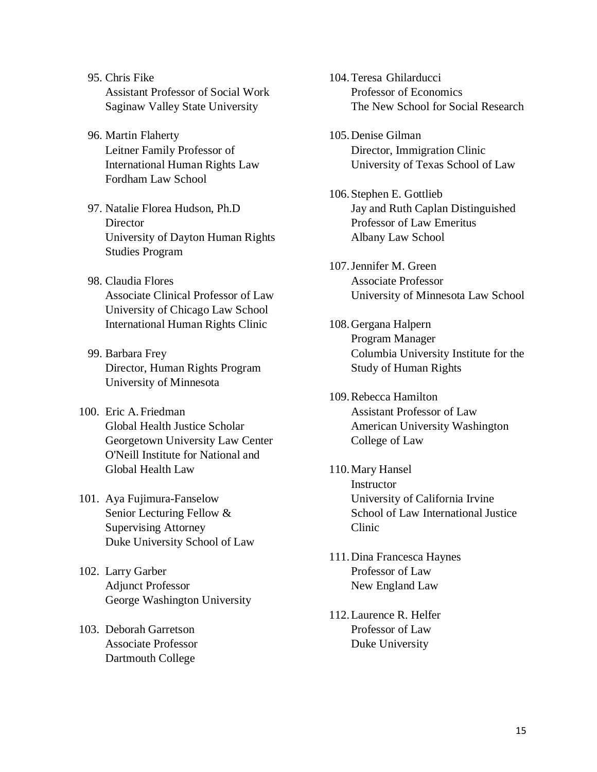- 95. Chris Fike Assistant Professor of Social Work Saginaw Valley State University
- 96. Martin Flaherty Leitner Family Professor of International Human Rights Law Fordham Law School
- 97. Natalie Florea Hudson, Ph.D **Director** University of Dayton Human Rights Studies Program
- 98. Claudia Flores Associate Clinical Professor of Law University of Chicago Law School International Human Rights Clinic
- 99. Barbara Frey Director, Human Rights Program University of Minnesota
- 100. Eric A.Friedman Global Health Justice Scholar Georgetown University Law Center O'Neill Institute for National and Global Health Law
- 101. Aya Fujimura-Fanselow Senior Lecturing Fellow & Supervising Attorney Duke University School of Law
- 102. Larry Garber Adjunct Professor George Washington University
- 103. Deborah Garretson Associate Professor Dartmouth College
- 104.Teresa Ghilarducci Professor of Economics The New School for Social Research
- 105.Denise Gilman Director, Immigration Clinic University of Texas School of Law
- 106.Stephen E. Gottlieb Jay and Ruth Caplan Distinguished Professor of Law Emeritus Albany Law School
- 107.Jennifer M. Green Associate Professor University of Minnesota Law School
- 108.Gergana Halpern Program Manager Columbia University Institute for the Study of Human Rights
- 109.Rebecca Hamilton Assistant Professor of Law American University Washington College of Law
- 110.Mary Hansel Instructor University of California Irvine School of Law International Justice Clinic
- 111.Dina Francesca Haynes Professor of Law New England Law
- 112.Laurence R. Helfer Professor of Law Duke University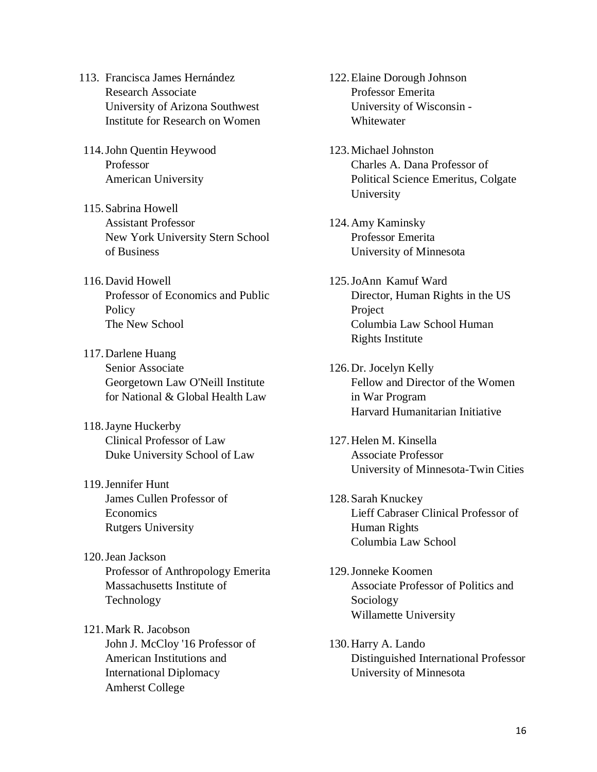- 113. Francisca James Hernández Research Associate University of Arizona Southwest Institute for Research on Women
- 114.John Quentin Heywood Professor American University
- 115.Sabrina Howell Assistant Professor New York University Stern School of Business
- 116.David Howell Professor of Economics and Public **Policy** The New School
- 117.Darlene Huang Senior Associate Georgetown Law O'Neill Institute for National & Global Health Law
- 118.Jayne Huckerby Clinical Professor of Law Duke University School of Law
- 119.Jennifer Hunt James Cullen Professor of Economics Rutgers University
- 120.Jean Jackson Professor of Anthropology Emerita Massachusetts Institute of Technology
- 121.Mark R. Jacobson John J. McCloy '16 Professor of American Institutions and International Diplomacy Amherst College
- 122.Elaine Dorough Johnson Professor Emerita University of Wisconsin - Whitewater
- 123.Michael Johnston Charles A. Dana Professor of Political Science Emeritus, Colgate University
- 124.Amy Kaminsky Professor Emerita University of Minnesota
- 125.JoAnn Kamuf Ward Director, Human Rights in the US Project Columbia Law School Human Rights Institute
- 126.Dr. Jocelyn Kelly Fellow and Director of the Women in War Program Harvard Humanitarian Initiative
- 127.Helen M. Kinsella Associate Professor University of Minnesota-Twin Cities
- 128.Sarah Knuckey Lieff Cabraser Clinical Professor of Human Rights Columbia Law School
- 129.Jonneke Koomen Associate Professor of Politics and Sociology Willamette University
- 130.Harry A. Lando Distinguished International Professor University of Minnesota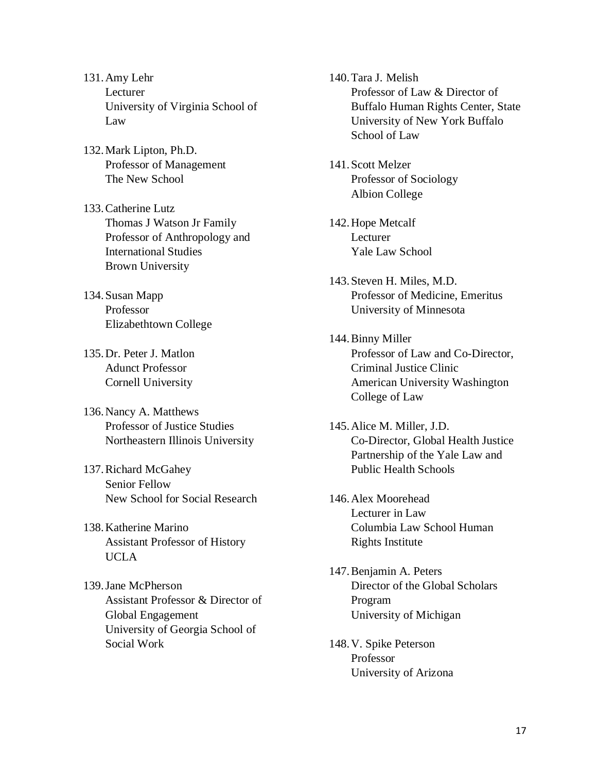- 131.Amy Lehr Lecturer University of Virginia School of Law
- 132.Mark Lipton, Ph.D. Professor of Management The New School
- 133.Catherine Lutz Thomas J Watson Jr Family Professor of Anthropology and International Studies Brown University
- 134.Susan Mapp Professor Elizabethtown College
- 135.Dr. Peter J. Matlon Adunct Professor Cornell University
- 136.Nancy A. Matthews Professor of Justice Studies Northeastern Illinois University
- 137.Richard McGahey Senior Fellow New School for Social Research
- 138.Katherine Marino Assistant Professor of History UCLA
- 139.Jane McPherson Assistant Professor & Director of Global Engagement University of Georgia School of Social Work

140.Tara J. Melish Professor of Law & Director of Buffalo Human Rights Center, State University of New York Buffalo School of Law

- 141.Scott Melzer Professor of Sociology Albion College
- 142.Hope Metcalf Lecturer Yale Law School
- 143.Steven H. Miles, M.D. Professor of Medicine, Emeritus University of Minnesota
- 144.Binny Miller Professor of Law and Co-Director, Criminal Justice Clinic American University Washington College of Law
- 145.Alice M. Miller, J.D. Co-Director, Global Health Justice Partnership of the Yale Law and Public Health Schools
- 146.Alex Moorehead Lecturer in Law Columbia Law School Human Rights Institute
- 147.Benjamin A. Peters Director of the Global Scholars Program University of Michigan
- 148.V. Spike Peterson Professor University of Arizona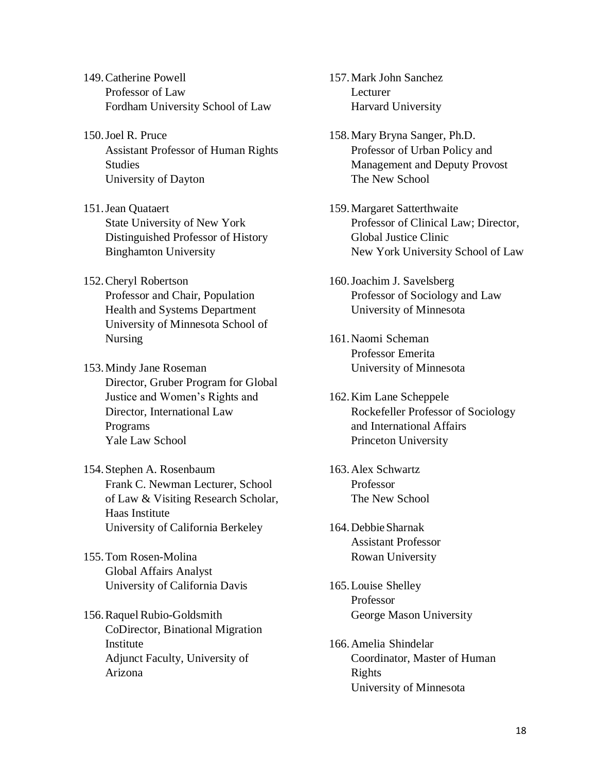- 149.Catherine Powell Professor of Law Fordham University School of Law
- 150.Joel R. Pruce Assistant Professor of Human Rights Studies University of Dayton
- 151.Jean Quataert State University of New York Distinguished Professor of History Binghamton University
- 152.Cheryl Robertson Professor and Chair, Population Health and Systems Department University of Minnesota School of Nursing
- 153.Mindy Jane Roseman Director, Gruber Program for Global Justice and Women's Rights and Director, International Law Programs Yale Law School
- 154.Stephen A. Rosenbaum Frank C. Newman Lecturer, School of Law & Visiting Research Scholar, Haas Institute University of California Berkeley
- 155.Tom Rosen-Molina Global Affairs Analyst University of California Davis
- 156. Raquel Rubio-Goldsmith CoDirector, Binational Migration Institute Adjunct Faculty, University of Arizona

157.Mark John Sanchez Lecturer Harvard University

- 158.Mary Bryna Sanger, Ph.D. Professor of Urban Policy and Management and Deputy Provost The New School
- 159.Margaret Satterthwaite Professor of Clinical Law; Director, Global Justice Clinic New York University School of Law
- 160.Joachim J. Savelsberg Professor of Sociology and Law University of Minnesota
- 161.Naomi Scheman Professor Emerita University of Minnesota
- 162.Kim Lane Scheppele Rockefeller Professor of Sociology and International Affairs Princeton University
- 163.Alex Schwartz Professor The New School
- 164.DebbieSharnak Assistant Professor Rowan University
- 165.Louise Shelley Professor George Mason University
- 166.Amelia Shindelar Coordinator, Master of Human Rights University of Minnesota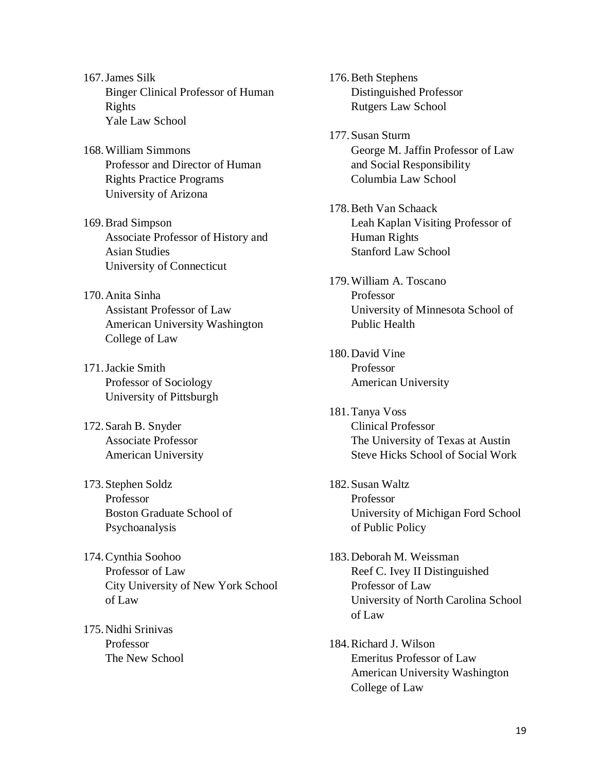- 167.James Silk Binger Clinical Professor of Human Rights Yale Law School
- 168.William Simmons Professor and Director of Human Rights Practice Programs University of Arizona
- 169.Brad Simpson Associate Professor of History and Asian Studies University of Connecticut
- 170.Anita Sinha Assistant Professor of Law American University Washington College of Law
- 171.Jackie Smith Professor of Sociology University of Pittsburgh
- 172.Sarah B. Snyder Associate Professor American University
- 173.Stephen Soldz Professor Boston Graduate School of Psychoanalysis
- 174.Cynthia Soohoo Professor of Law City University of New York School of Law
- 175.Nidhi Srinivas Professor The New School

176.Beth Stephens Distinguished Professor Rutgers Law School

- 177.Susan Sturm George M. Jaffin Professor of Law and Social Responsibility Columbia Law School
- 178.Beth Van Schaack Leah Kaplan Visiting Professor of Human Rights Stanford Law School
- 179.William A. Toscano Professor University of Minnesota School of Public Health
- 180.David Vine Professor American University
- 181.Tanya Voss Clinical Professor The University of Texas at Austin Steve Hicks School of Social Work
- 182.Susan Waltz Professor University of Michigan Ford School of Public Policy
- 183.Deborah M. Weissman Reef C. Ivey II Distinguished Professor of Law University of North Carolina School of Law
- 184.Richard J. Wilson Emeritus Professor of Law American University Washington College of Law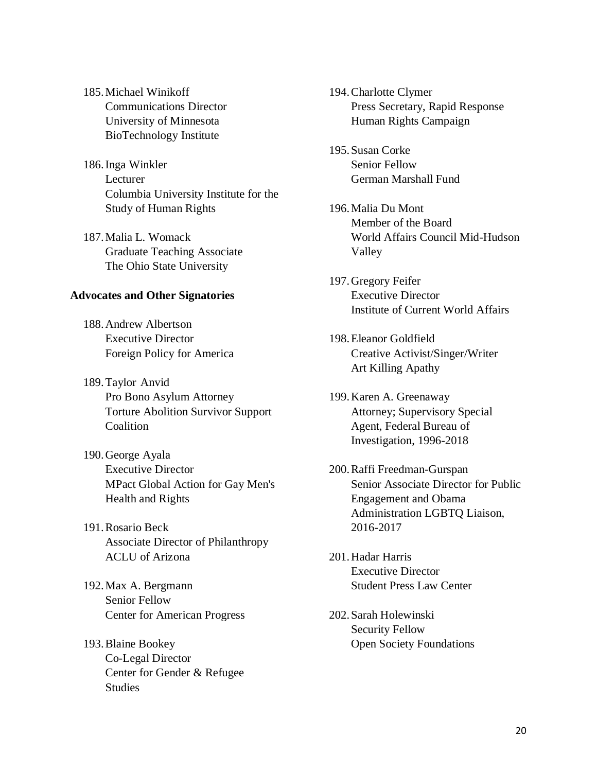- 185.Michael Winikoff Communications Director University of Minnesota BioTechnology Institute
- 186.Inga Winkler Lecturer Columbia University Institute for the Study of Human Rights
- 187.Malia L. Womack Graduate Teaching Associate The Ohio State University

#### **Advocates and Other Signatories**

- 188.Andrew Albertson Executive Director Foreign Policy for America
- 189.Taylor Anvid Pro Bono Asylum Attorney Torture Abolition Survivor Support Coalition
- 190.George Ayala Executive Director MPact Global Action for Gay Men's Health and Rights
- 191.Rosario Beck Associate Director of Philanthropy ACLU of Arizona
- 192.Max A. Bergmann Senior Fellow Center for American Progress
- 193.Blaine Bookey Co-Legal Director Center for Gender & Refugee **Studies**
- 194.Charlotte Clymer Press Secretary, Rapid Response Human Rights Campaign
- 195.Susan Corke Senior Fellow German Marshall Fund
- 196.Malia Du Mont Member of the Board World Affairs Council Mid-Hudson Valley
- 197.Gregory Feifer Executive Director Institute of Current World Affairs
- 198.Eleanor Goldfield Creative Activist/Singer/Writer Art Killing Apathy
- 199.Karen A. Greenaway Attorney; Supervisory Special Agent, Federal Bureau of Investigation, 1996-2018
- 200.Raffi Freedman-Gurspan Senior Associate Director for Public Engagement and Obama Administration LGBTQ Liaison, 2016-2017
- 201.Hadar Harris Executive Director Student Press Law Center
- 202.Sarah Holewinski Security Fellow Open Society Foundations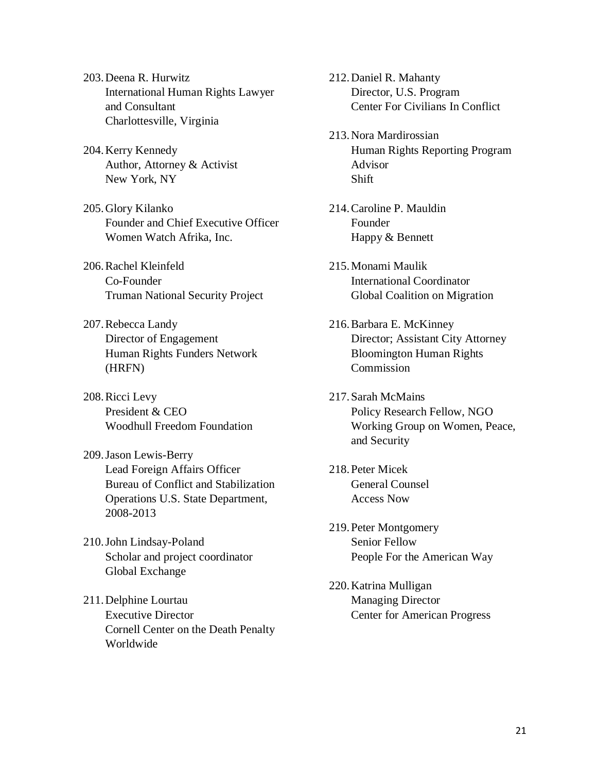- 203.Deena R. Hurwitz International Human Rights Lawyer and Consultant Charlottesville, Virginia
- 204.Kerry Kennedy Author, Attorney & Activist New York, NY
- 205.Glory Kilanko Founder and Chief Executive Officer Women Watch Afrika, Inc.
- 206.Rachel Kleinfeld Co-Founder Truman National Security Project
- 207.Rebecca Landy Director of Engagement Human Rights Funders Network (HRFN)
- 208.Ricci Levy President & CEO Woodhull Freedom Foundation
- 209.Jason Lewis-Berry Lead Foreign Affairs Officer Bureau of Conflict and Stabilization Operations U.S. State Department, 2008-2013
- 210.John Lindsay-Poland Scholar and project coordinator Global Exchange
- 211.Delphine Lourtau Executive Director Cornell Center on the Death Penalty Worldwide

212.Daniel R. Mahanty Director, U.S. Program Center For Civilians In Conflict

- 213.Nora Mardirossian Human Rights Reporting Program Advisor Shift
- 214.Caroline P. Mauldin Founder Happy & Bennett
- 215.Monami Maulik International Coordinator Global Coalition on Migration
- 216.Barbara E. McKinney Director; Assistant City Attorney Bloomington Human Rights Commission
- 217.Sarah McMains Policy Research Fellow, NGO Working Group on Women, Peace, and Security
- 218.Peter Micek General Counsel Access Now
- 219.Peter Montgomery Senior Fellow People For the American Way
- 220.Katrina Mulligan Managing Director Center for American Progress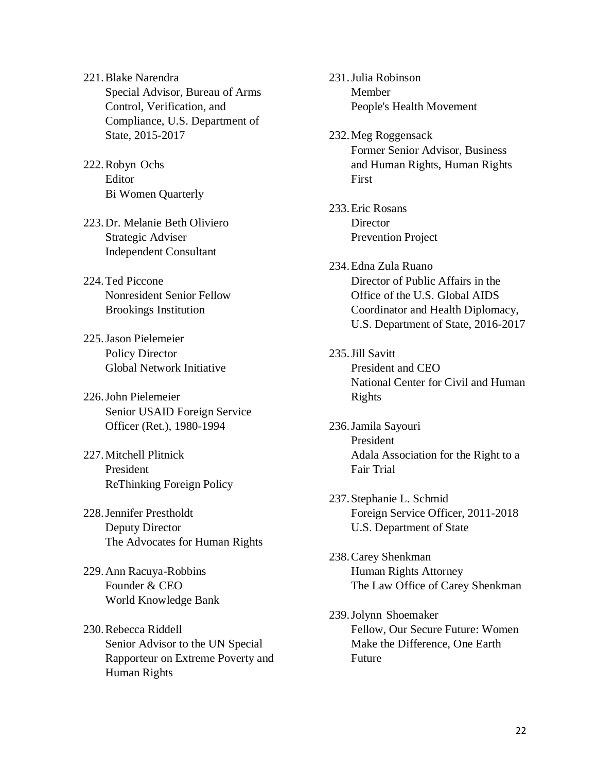- 221.Blake Narendra Special Advisor, Bureau of Arms Control, Verification, and Compliance, U.S. Department of State, 2015-2017
- 222.Robyn Ochs Editor Bi Women Quarterly
- 223.Dr. Melanie Beth Oliviero Strategic Adviser Independent Consultant
- 224.Ted Piccone Nonresident Senior Fellow Brookings Institution
- 225.Jason Pielemeier Policy Director Global Network Initiative
- 226.John Pielemeier Senior USAID Foreign Service Officer (Ret.), 1980-1994
- 227.Mitchell Plitnick President ReThinking Foreign Policy
- 228.Jennifer Prestholdt Deputy Director The Advocates for Human Rights
- 229.Ann Racuya-Robbins Founder & CEO World Knowledge Bank
- 230.Rebecca Riddell Senior Advisor to the UN Special Rapporteur on Extreme Poverty and Human Rights
- 231.Julia Robinson Member People's Health Movement
- 232.Meg Roggensack Former Senior Advisor, Business and Human Rights, Human Rights First
- 233.Eric Rosans **Director** Prevention Project
- 234.Edna Zula Ruano Director of Public Affairs in the Office of the U.S. Global AIDS Coordinator and Health Diplomacy, U.S. Department of State, 2016-2017
- 235.Jill Savitt President and CEO National Center for Civil and Human Rights
- 236.Jamila Sayouri President Adala Association for the Right to a Fair Trial
- 237.Stephanie L. Schmid Foreign Service Officer, 2011-2018 U.S. Department of State
- 238.Carey Shenkman Human Rights Attorney The Law Office of Carey Shenkman
- 239.Jolynn Shoemaker Fellow, Our Secure Future: Women Make the Difference, One Earth Future